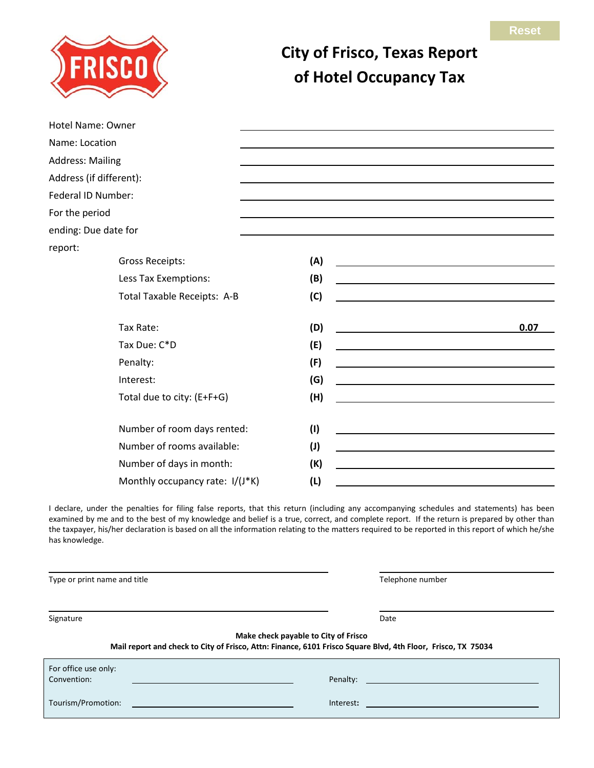

## **City of Frisco, Texas Report of Hotel Occupancy Tax**

| Hotel Name: Owner               |     |      |
|---------------------------------|-----|------|
| Name: Location                  |     |      |
| <b>Address: Mailing</b>         |     |      |
| Address (if different):         |     |      |
| Federal ID Number:              |     |      |
| For the period                  |     |      |
| ending: Due date for            |     |      |
| report:                         |     |      |
| <b>Gross Receipts:</b>          | (A) |      |
| Less Tax Exemptions:            | (B) |      |
| Total Taxable Receipts: A-B     | (C) |      |
| Tax Rate:                       | (D) | 0.07 |
| Tax Due: C*D                    | (E) |      |
| Penalty:                        | (F) |      |
| Interest:                       | (G) |      |
| Total due to city: (E+F+G)      | (H) |      |
| Number of room days rented:     | (1) |      |
| Number of rooms available:      | (1) |      |
| Number of days in month:        | (K) |      |
| Monthly occupancy rate: I/(J*K) | (L) |      |

I declare, under the penalties for filing false reports, that this return (including any accompanying schedules and statements) has been examined by me and to the best of my knowledge and belief is a true, correct, and complete report. If the return is prepared by other than the taxpayer, his/her declaration is based on all the information relating to the matters required to be reported in this report of which he/she has knowledge.

Type or print name and title Telephone number of the Telephone number Signature Date Date of the Signature Date of the Signature Date of the Date of the Date of the Date of the Date of the Date of the Date of the Date of the Date of the Date of the Date of the Date of the Date of the Date of **Make check payable to City of Frisco Mail report and check to City of Frisco, Attn: Finance, 6101 Frisco Square Blvd, 4th Floor, Frisco, TX 75034**  For office use only: Convention: Penalty: Tourism/Promotion: <u>Interest:</u> Interest: